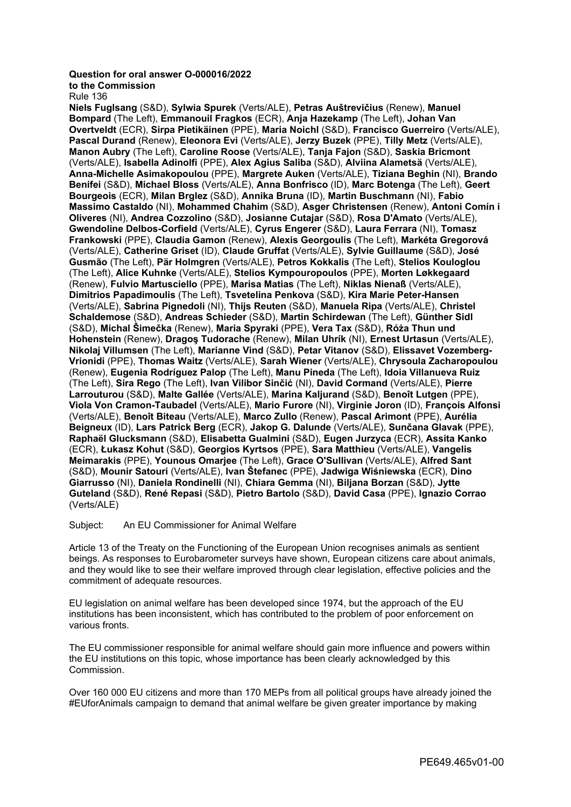## **Question for oral answer O-000016/2022**

**to the Commission**

Rule 136

**Niels Fuglsang** (S&D), **Sylwia Spurek** (Verts/ALE), **Petras Auštrevičius** (Renew), **Manuel Bompard** (The Left), **Emmanouil Fragkos** (ECR), **Anja Hazekamp** (The Left), **Johan Van Overtveldt** (ECR), **Sirpa Pietikäinen** (PPE), **Maria Noichl** (S&D), **Francisco Guerreiro** (Verts/ALE), **Pascal Durand** (Renew), **Eleonora Evi** (Verts/ALE), **Jerzy Buzek** (PPE), **Tilly Metz** (Verts/ALE), **Manon Aubry** (The Left), **Caroline Roose** (Verts/ALE), **Tanja Fajon** (S&D), **Saskia Bricmont** (Verts/ALE), **Isabella Adinolfi** (PPE), **Alex Agius Saliba** (S&D), **Alviina Alametsä** (Verts/ALE), **Anna-Michelle Asimakopoulou** (PPE), **Margrete Auken** (Verts/ALE), **Tiziana Beghin** (NI), **Brando Benifei** (S&D), **Michael Bloss** (Verts/ALE), **Anna Bonfrisco** (ID), **Marc Botenga** (The Left), **Geert Bourgeois** (ECR), **Milan Brglez** (S&D), **Annika Bruna** (ID), **Martin Buschmann** (NI), **Fabio Massimo Castaldo** (NI), **Mohammed Chahim** (S&D), **Asger Christensen** (Renew), **Antoni Comín i Oliveres** (NI), **Andrea Cozzolino** (S&D), **Josianne Cutajar** (S&D), **Rosa D'Amato** (Verts/ALE), **Gwendoline Delbos-Corfield** (Verts/ALE), **Cyrus Engerer** (S&D), **Laura Ferrara** (NI), **Tomasz Frankowski** (PPE), **Claudia Gamon** (Renew), **Alexis Georgoulis** (The Left), **Markéta Gregorová** (Verts/ALE), **Catherine Griset** (ID), **Claude Gruffat** (Verts/ALE), **Sylvie Guillaume** (S&D), **José Gusmão** (The Left), **Pär Holmgren** (Verts/ALE), **Petros Kokkalis** (The Left), **Stelios Kouloglou** (The Left), **Alice Kuhnke** (Verts/ALE), **Stelios Kympouropoulos** (PPE), **Morten Løkkegaard** (Renew), **Fulvio Martusciello** (PPE), **Marisa Matias** (The Left), **Niklas Nienaß** (Verts/ALE), **Dimitrios Papadimoulis** (The Left), **Tsvetelina Penkova** (S&D), **Kira Marie Peter-Hansen** (Verts/ALE), **Sabrina Pignedoli** (NI), **Thijs Reuten** (S&D), **Manuela Ripa** (Verts/ALE), **Christel Schaldemose** (S&D), **Andreas Schieder** (S&D), **Martin Schirdewan** (The Left), **Günther Sidl** (S&D), **Michal Šimečka** (Renew), **Maria Spyraki** (PPE), **Vera Tax** (S&D), **Róża Thun und Hohenstein** (Renew), **Dragoş Tudorache** (Renew), **Milan Uhrík** (NI), **Ernest Urtasun** (Verts/ALE), **Nikolaj Villumsen** (The Left), **Marianne Vind** (S&D), **Petar Vitanov** (S&D), **Elissavet Vozemberg-Vrionidi** (PPE), **Thomas Waitz** (Verts/ALE), **Sarah Wiener** (Verts/ALE), **Chrysoula Zacharopoulou** (Renew), **Eugenia Rodríguez Palop** (The Left), **Manu Pineda** (The Left), **Idoia Villanueva Ruiz** (The Left), **Sira Rego** (The Left), **Ivan Vilibor Sinčić** (NI), **David Cormand** (Verts/ALE), **Pierre Larrouturou** (S&D), **Malte Gallée** (Verts/ALE), **Marina Kaljurand** (S&D), **Benoît Lutgen** (PPE), **Viola Von Cramon-Taubadel** (Verts/ALE), **Mario Furore** (NI), **Virginie Joron** (ID), **François Alfonsi** (Verts/ALE), **Benoît Biteau** (Verts/ALE), **Marco Zullo** (Renew), **Pascal Arimont** (PPE), **Aurélia Beigneux** (ID), **Lars Patrick Berg** (ECR), **Jakop G. Dalunde** (Verts/ALE), **Sunčana Glavak** (PPE), **Raphaël Glucksmann** (S&D), **Elisabetta Gualmini** (S&D), **Eugen Jurzyca** (ECR), **Assita Kanko** (ECR), **Łukasz Kohut** (S&D), **Georgios Kyrtsos** (PPE), **Sara Matthieu** (Verts/ALE), **Vangelis Meimarakis** (PPE), **Younous Omarjee** (The Left), **Grace O'Sullivan** (Verts/ALE), **Alfred Sant** (S&D), **Mounir Satouri** (Verts/ALE), **Ivan Štefanec** (PPE), **Jadwiga Wiśniewska** (ECR), **Dino Giarrusso** (NI), **Daniela Rondinelli** (NI), **Chiara Gemma** (NI), **Biljana Borzan** (S&D), **Jytte Guteland** (S&D), **René Repasi** (S&D), **Pietro Bartolo** (S&D), **David Casa** (PPE), **Ignazio Corrao** (Verts/ALE)

Subject: An EU Commissioner for Animal Welfare

Article 13 of the Treaty on the Functioning of the European Union recognises animals as sentient beings. As responses to Eurobarometer surveys have shown, European citizens care about animals, and they would like to see their welfare improved through clear legislation, effective policies and the commitment of adequate resources.

EU legislation on animal welfare has been developed since 1974, but the approach of the EU institutions has been inconsistent, which has contributed to the problem of poor enforcement on various fronts.

The EU commissioner responsible for animal welfare should gain more influence and powers within the EU institutions on this topic, whose importance has been clearly acknowledged by this Commission.

Over 160 000 EU citizens and more than 170 MEPs from all political groups have already joined the #EUforAnimals campaign to demand that animal welfare be given greater importance by making